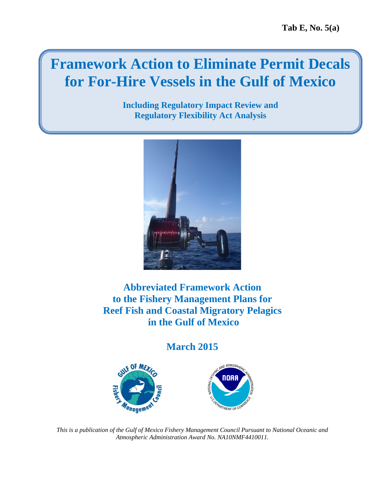# **Framework Action to Eliminate Permit Decals for For-Hire Vessels in the Gulf of Mexico**

**Including Regulatory Impact Review and Regulatory Flexibility Act Analysis** 



### **Abbreviated Framework Action to the Fishery Management Plans for Reef Fish and Coastal Migratory Pelagics in the Gulf of Mexico**

#### **March 2015**





*This is a publication of the Gulf of Mexico Fishery Management Council Pursuant to National Oceanic and Atmospheric Administration Award No. NA10NMF4410011.*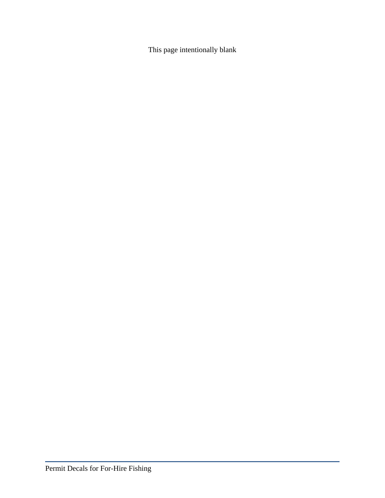This page intentionally blank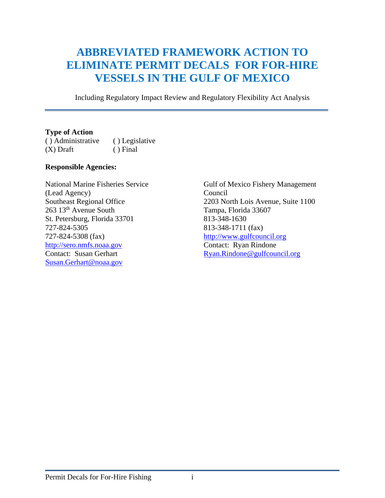# **ABBREVIATED FRAMEWORK ACTION TO ELIMINATE PERMIT DECALS FOR FOR-HIRE VESSELS IN THE GULF OF MEXICO**

Including Regulatory Impact Review and Regulatory Flexibility Act Analysis

#### **Type of Action**

( ) Administrative ( ) Legislative ( X) Draft ( ) Final  $(X)$  Draft

#### **Responsible Agencies:**

National Marine Fisheries Service (Lead Agency) Southeast Regional Office 263 13th Avenue South St. Petersburg, Florida 33701 727-824-5305 727-824-5308 (fax) http://sero.nmfs.noaa.gov Contact: Susan Gerhart Susan.Gerhart@noaa.gov

Gulf of Mexico Fishery Management Council 2203 North Lois Avenue, Suite 1100 Tampa, Florida 33607 813-348-1630 813-348-1711 (fax) http://www.gulfcouncil.org Contact: Ryan Rindone Ryan.Rindone@gulfcouncil.org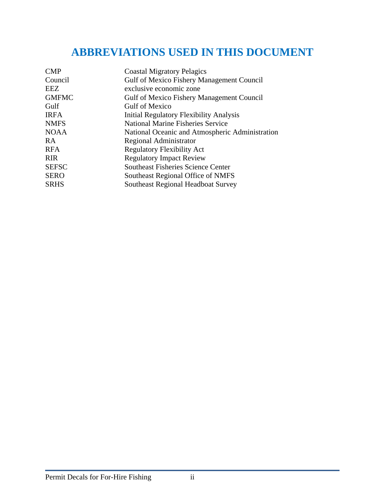# **ABBREVIATIONS USED IN THIS DOCUMENT**

| <b>CMP</b>   | <b>Coastal Migratory Pelagics</b>                |
|--------------|--------------------------------------------------|
| Council      | <b>Gulf of Mexico Fishery Management Council</b> |
| EEZ          | exclusive economic zone                          |
| <b>GMFMC</b> | <b>Gulf of Mexico Fishery Management Council</b> |
| Gulf         | <b>Gulf of Mexico</b>                            |
| <b>IRFA</b>  | Initial Regulatory Flexibility Analysis          |
| <b>NMFS</b>  | <b>National Marine Fisheries Service</b>         |
| <b>NOAA</b>  | National Oceanic and Atmospheric Administration  |
| RA.          | Regional Administrator                           |
| <b>RFA</b>   | <b>Regulatory Flexibility Act</b>                |
| <b>RIR</b>   | <b>Regulatory Impact Review</b>                  |
| <b>SEFSC</b> | <b>Southeast Fisheries Science Center</b>        |
| <b>SERO</b>  | Southeast Regional Office of NMFS                |
| <b>SRHS</b>  | Southeast Regional Headboat Survey               |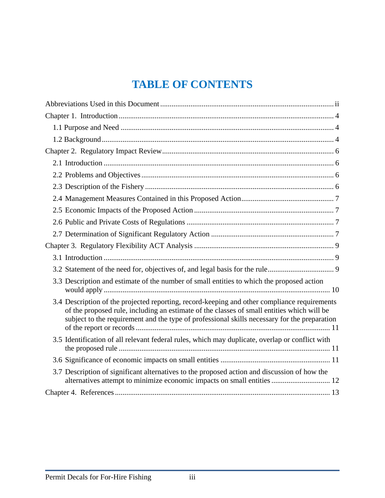# **TABLE OF CONTENTS**

| 3.3 Description and estimate of the number of small entities to which the proposed action                                                                                                                                                                                                  |
|--------------------------------------------------------------------------------------------------------------------------------------------------------------------------------------------------------------------------------------------------------------------------------------------|
| 3.4 Description of the projected reporting, record-keeping and other compliance requirements<br>of the proposed rule, including an estimate of the classes of small entities which will be<br>subject to the requirement and the type of professional skills necessary for the preparation |
| 3.5 Identification of all relevant federal rules, which may duplicate, overlap or conflict with                                                                                                                                                                                            |
|                                                                                                                                                                                                                                                                                            |
| 3.7 Description of significant alternatives to the proposed action and discussion of how the<br>alternatives attempt to minimize economic impacts on small entities  12                                                                                                                    |
|                                                                                                                                                                                                                                                                                            |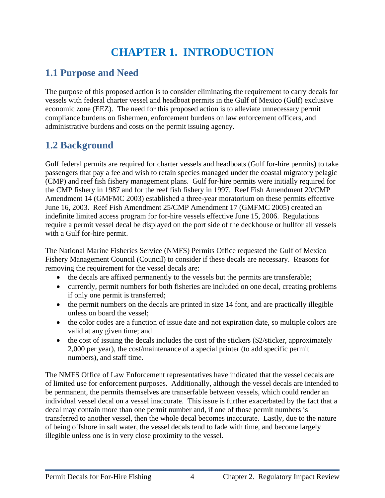# **CHAPTER 1. INTRODUCTION**

## **1.1 Purpose and Need**

The purpose of this proposed action is to consider eliminating the requirement to carry decals for vessels with federal charter vessel and headboat permits in the Gulf of Mexico (Gulf) exclusive economic zone (EEZ). The need for this proposed action is to alleviate unnecessary permit compliance burdens on fishermen, enforcement burdens on law enforcement officers, and administrative burdens and costs on the permit issuing agency.

# **1.2 Background**

Gulf federal permits are required for charter vessels and headboats (Gulf for-hire permits) to take passengers that pay a fee and wish to retain species managed under the coastal migratory pelagic (CMP) and reef fish fishery management plans. Gulf for-hire permits were initially required for the CMP fishery in 1987 and for the reef fish fishery in 1997. Reef Fish Amendment 20/CMP Amendment 14 (GMFMC 2003) established a three-year moratorium on these permits effective June 16, 2003. Reef Fish Amendment 25/CMP Amendment 17 (GMFMC 2005) created an indefinite limited access program for for-hire vessels effective June 15, 2006. Regulations require a permit vessel decal be displayed on the port side of the deckhouse or hullfor all vessels with a Gulf for-hire permit.

The National Marine Fisheries Service (NMFS) Permits Office requested the Gulf of Mexico Fishery Management Council (Council) to consider if these decals are necessary. Reasons for removing the requirement for the vessel decals are:

- the decals are affixed permanently to the vessels but the permits are transferable;
- currently, permit numbers for both fisheries are included on one decal, creating problems if only one permit is transferred;
- the permit numbers on the decals are printed in size 14 font, and are practically illegible unless on board the vessel;
- the color codes are a function of issue date and not expiration date, so multiple colors are valid at any given time; and
- $\bullet$  the cost of issuing the decals includes the cost of the stickers (\$2/sticker, approximately 2,000 per year), the cost/maintenance of a special printer (to add specific permit numbers), and staff time.

The NMFS Office of Law Enforcement representatives have indicated that the vessel decals are of limited use for enforcement purposes. Additionally, although the vessel decals are intended to be permanent, the permits themselves are transerfable between vessels, which could render an individual vessel decal on a vessel inaccurate. This issue is further exacerbated by the fact that a decal may contain more than one permit number and, if one of those permit numbers is transferred to another vessel, then the whole decal becomes inaccurate. Lastly, due to the nature of being offshore in salt water, the vessel decals tend to fade with time, and become largely illegible unless one is in very close proximity to the vessel.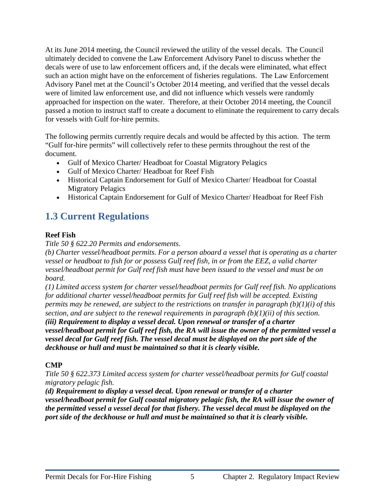At its June 2014 meeting, the Council reviewed the utility of the vessel decals. The Council ultimately decided to convene the Law Enforcement Advisory Panel to discuss whether the decals were of use to law enforcement officers and, if the decals were eliminated, what effect such an action might have on the enforcement of fisheries regulations. The Law Enforcement Advisory Panel met at the Council's October 2014 meeting, and verified that the vessel decals were of limited law enforcement use, and did not influence which vessels were randomly approached for inspection on the water. Therefore, at their October 2014 meeting, the Council passed a motion to instruct staff to create a document to eliminate the requirement to carry decals for vessels with Gulf for-hire permits.

The following permits currently require decals and would be affected by this action. The term "Gulf for-hire permits" will collectively refer to these permits throughout the rest of the document.

- Gulf of Mexico Charter/ Headboat for Coastal Migratory Pelagics
- Gulf of Mexico Charter/ Headboat for Reef Fish
- Historical Captain Endorsement for Gulf of Mexico Charter/ Headboat for Coastal Migratory Pelagics
- Historical Captain Endorsement for Gulf of Mexico Charter/ Headboat for Reef Fish

# **1.3 Current Regulations**

#### **Reef Fish**

*Title 50 § 622.20 Permits and endorsements.* 

*(b) Charter vessel/headboat permits. For a person aboard a vessel that is operating as a charter vessel or headboat to fish for or possess Gulf reef fish, in or from the EEZ, a valid charter vessel/headboat permit for Gulf reef fish must have been issued to the vessel and must be on board.* 

*(1) Limited access system for charter vessel/headboat permits for Gulf reef fish. No applications for additional charter vessel/headboat permits for Gulf reef fish will be accepted. Existing permits may be renewed, are subject to the restrictions on transfer in paragraph (b)(1)(i) of this section, and are subject to the renewal requirements in paragraph (b)(1)(ii) of this section.* 

*(iii) Requirement to display a vessel decal. Upon renewal or transfer of a charter vessel/headboat permit for Gulf reef fish, the RA will issue the owner of the permitted vessel a vessel decal for Gulf reef fish. The vessel decal must be displayed on the port side of the deckhouse or hull and must be maintained so that it is clearly visible.* 

#### **CMP**

*Title 50 § 622.373 Limited access system for charter vessel/headboat permits for Gulf coastal migratory pelagic fish.* 

*(d) Requirement to display a vessel decal. Upon renewal or transfer of a charter vessel/headboat permit for Gulf coastal migratory pelagic fish, the RA will issue the owner of the permitted vessel a vessel decal for that fishery. The vessel decal must be displayed on the port side of the deckhouse or hull and must be maintained so that it is clearly visible.*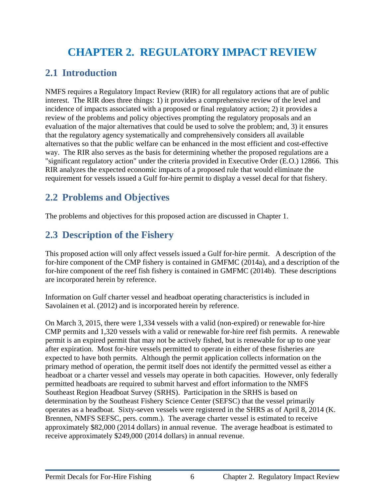# **CHAPTER 2. REGULATORY IMPACT REVIEW**

## **2.1 Introduction**

NMFS requires a Regulatory Impact Review (RIR) for all regulatory actions that are of public interest. The RIR does three things: 1) it provides a comprehensive review of the level and incidence of impacts associated with a proposed or final regulatory action; 2) it provides a review of the problems and policy objectives prompting the regulatory proposals and an evaluation of the major alternatives that could be used to solve the problem; and, 3) it ensures that the regulatory agency systematically and comprehensively considers all available alternatives so that the public welfare can be enhanced in the most efficient and cost-effective way. The RIR also serves as the basis for determining whether the proposed regulations are a "significant regulatory action" under the criteria provided in Executive Order (E.O.) 12866. This RIR analyzes the expected economic impacts of a proposed rule that would eliminate the requirement for vessels issued a Gulf for-hire permit to display a vessel decal for that fishery.

## **2.2 Problems and Objectives**

The problems and objectives for this proposed action are discussed in Chapter 1.

# **2.3 Description of the Fishery**

This proposed action will only affect vessels issued a Gulf for-hire permit. A description of the for-hire component of the CMP fishery is contained in GMFMC (2014a), and a description of the for-hire component of the reef fish fishery is contained in GMFMC (2014b). These descriptions are incorporated herein by reference.

Information on Gulf charter vessel and headboat operating characteristics is included in Savolainen et al. (2012) and is incorporated herein by reference.

On March 3, 2015, there were 1,334 vessels with a valid (non-expired) or renewable for-hire CMP permits and 1,320 vessels with a valid or renewable for-hire reef fish permits. A renewable permit is an expired permit that may not be actively fished, but is renewable for up to one year after expiration. Most for-hire vessels permitted to operate in either of these fisheries are expected to have both permits. Although the permit application collects information on the primary method of operation, the permit itself does not identify the permitted vessel as either a headboat or a charter vessel and vessels may operate in both capacities. However, only federally permitted headboats are required to submit harvest and effort information to the NMFS Southeast Region Headboat Survey (SRHS). Participation in the SRHS is based on determination by the Southeast Fishery Science Center (SEFSC) that the vessel primarily operates as a headboat. Sixty-seven vessels were registered in the SHRS as of April 8, 2014 (K. Brennen, NMFS SEFSC, pers. comm.). The average charter vessel is estimated to receive approximately \$82,000 (2014 dollars) in annual revenue. The average headboat is estimated to receive approximately \$249,000 (2014 dollars) in annual revenue.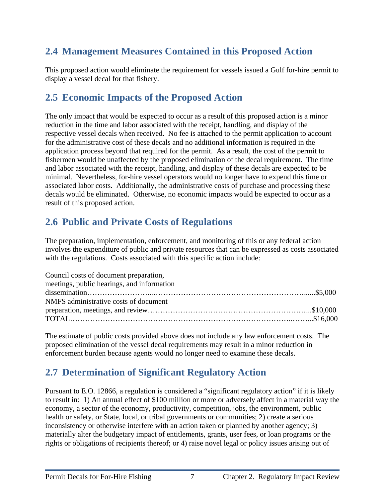# **2.4 Management Measures Contained in this Proposed Action**

This proposed action would eliminate the requirement for vessels issued a Gulf for-hire permit to display a vessel decal for that fishery.

## **2.5 Economic Impacts of the Proposed Action**

The only impact that would be expected to occur as a result of this proposed action is a minor reduction in the time and labor associated with the receipt, handling, and display of the respective vessel decals when received. No fee is attached to the permit application to account for the administrative cost of these decals and no additional information is required in the application process beyond that required for the permit. As a result, the cost of the permit to fishermen would be unaffected by the proposed elimination of the decal requirement. The time and labor associated with the receipt, handling, and display of these decals are expected to be minimal. Nevertheless, for-hire vessel operators would no longer have to expend this time or associated labor costs. Additionally, the administrative costs of purchase and processing these decals would be eliminated. Otherwise, no economic impacts would be expected to occur as a result of this proposed action.

# **2.6 Public and Private Costs of Regulations**

The preparation, implementation, enforcement, and monitoring of this or any federal action involves the expenditure of public and private resources that can be expressed as costs associated with the regulations. Costs associated with this specific action include:

| Council costs of document preparation,     |  |
|--------------------------------------------|--|
| meetings, public hearings, and information |  |
|                                            |  |
| NMFS administrative costs of document      |  |
|                                            |  |
|                                            |  |

The estimate of public costs provided above does not include any law enforcement costs. The proposed elimination of the vessel decal requirements may result in a minor reduction in enforcement burden because agents would no longer need to examine these decals.

# **2.7 Determination of Significant Regulatory Action**

Pursuant to E.O. 12866, a regulation is considered a "significant regulatory action" if it is likely to result in: 1) An annual effect of \$100 million or more or adversely affect in a material way the economy, a sector of the economy, productivity, competition, jobs, the environment, public health or safety, or State, local, or tribal governments or communities; 2) create a serious inconsistency or otherwise interfere with an action taken or planned by another agency; 3) materially alter the budgetary impact of entitlements, grants, user fees, or loan programs or the rights or obligations of recipients thereof; or 4) raise novel legal or policy issues arising out of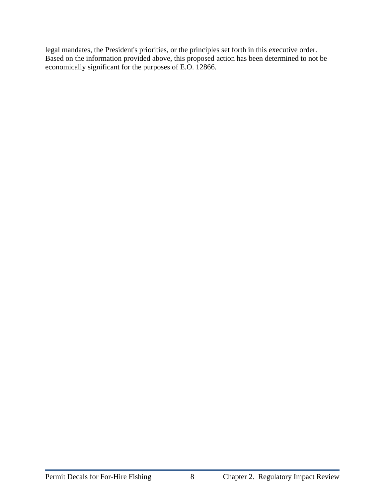legal mandates, the President's priorities, or the principles set forth in this executive order. Based on the information provided above, this proposed action has been determined to not be economically significant for the purposes of E.O. 12866.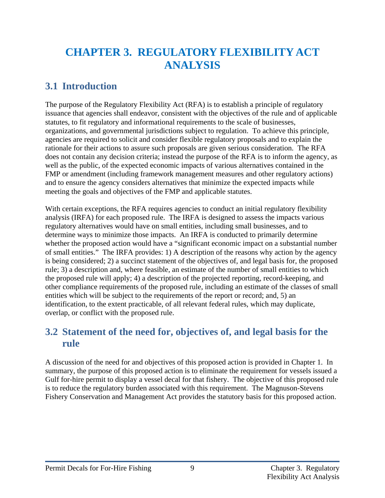# **CHAPTER 3. REGULATORY FLEXIBILITY ACT ANALYSIS**

## **3.1 Introduction**

The purpose of the Regulatory Flexibility Act (RFA) is to establish a principle of regulatory issuance that agencies shall endeavor, consistent with the objectives of the rule and of applicable statutes, to fit regulatory and informational requirements to the scale of businesses, organizations, and governmental jurisdictions subject to regulation. To achieve this principle, agencies are required to solicit and consider flexible regulatory proposals and to explain the rationale for their actions to assure such proposals are given serious consideration. The RFA does not contain any decision criteria; instead the purpose of the RFA is to inform the agency, as well as the public, of the expected economic impacts of various alternatives contained in the FMP or amendment (including framework management measures and other regulatory actions) and to ensure the agency considers alternatives that minimize the expected impacts while meeting the goals and objectives of the FMP and applicable statutes.

With certain exceptions, the RFA requires agencies to conduct an initial regulatory flexibility analysis (IRFA) for each proposed rule. The IRFA is designed to assess the impacts various regulatory alternatives would have on small entities, including small businesses, and to determine ways to minimize those impacts. An IRFA is conducted to primarily determine whether the proposed action would have a "significant economic impact on a substantial number of small entities." The IRFA provides: 1) A description of the reasons why action by the agency is being considered; 2) a succinct statement of the objectives of, and legal basis for, the proposed rule; 3) a description and, where feasible, an estimate of the number of small entities to which the proposed rule will apply; 4) a description of the projected reporting, record-keeping, and other compliance requirements of the proposed rule, including an estimate of the classes of small entities which will be subject to the requirements of the report or record; and, 5) an identification, to the extent practicable, of all relevant federal rules, which may duplicate, overlap, or conflict with the proposed rule.

#### **3.2 Statement of the need for, objectives of, and legal basis for the rule**

A discussion of the need for and objectives of this proposed action is provided in Chapter 1. In summary, the purpose of this proposed action is to eliminate the requirement for vessels issued a Gulf for-hire permit to display a vessel decal for that fishery. The objective of this proposed rule is to reduce the regulatory burden associated with this requirement. The Magnuson-Stevens Fishery Conservation and Management Act provides the statutory basis for this proposed action.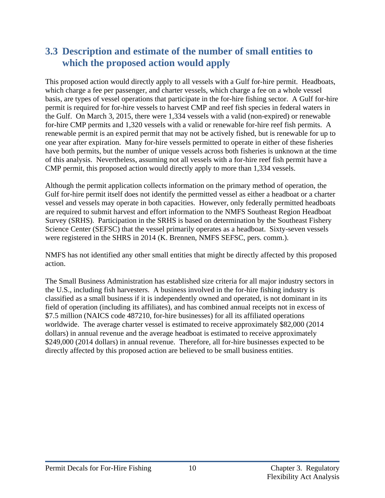### **3.3 Description and estimate of the number of small entities to which the proposed action would apply**

This proposed action would directly apply to all vessels with a Gulf for-hire permit. Headboats, which charge a fee per passenger, and charter vessels, which charge a fee on a whole vessel basis, are types of vessel operations that participate in the for-hire fishing sector. A Gulf for-hire permit is required for for-hire vessels to harvest CMP and reef fish species in federal waters in the Gulf. On March 3, 2015, there were 1,334 vessels with a valid (non-expired) or renewable for-hire CMP permits and 1,320 vessels with a valid or renewable for-hire reef fish permits. A renewable permit is an expired permit that may not be actively fished, but is renewable for up to one year after expiration. Many for-hire vessels permitted to operate in either of these fisheries have both permits, but the number of unique vessels across both fisheries is unknown at the time of this analysis. Nevertheless, assuming not all vessels with a for-hire reef fish permit have a CMP permit, this proposed action would directly apply to more than 1,334 vessels.

Although the permit application collects information on the primary method of operation, the Gulf for-hire permit itself does not identify the permitted vessel as either a headboat or a charter vessel and vessels may operate in both capacities. However, only federally permitted headboats are required to submit harvest and effort information to the NMFS Southeast Region Headboat Survey (SRHS). Participation in the SRHS is based on determination by the Southeast Fishery Science Center (SEFSC) that the vessel primarily operates as a headboat. Sixty-seven vessels were registered in the SHRS in 2014 (K. Brennen, NMFS SEFSC, pers. comm.).

NMFS has not identified any other small entities that might be directly affected by this proposed action.

The Small Business Administration has established size criteria for all major industry sectors in the U.S., including fish harvesters. A business involved in the for-hire fishing industry is classified as a small business if it is independently owned and operated, is not dominant in its field of operation (including its affiliates), and has combined annual receipts not in excess of \$7.5 million (NAICS code 487210, for-hire businesses) for all its affiliated operations worldwide. The average charter vessel is estimated to receive approximately \$82,000 (2014 dollars) in annual revenue and the average headboat is estimated to receive approximately \$249,000 (2014 dollars) in annual revenue. Therefore, all for-hire businesses expected to be directly affected by this proposed action are believed to be small business entities.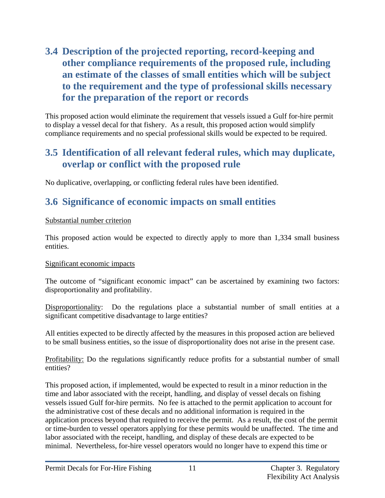### **3.4 Description of the projected reporting, record-keeping and other compliance requirements of the proposed rule, including an estimate of the classes of small entities which will be subject to the requirement and the type of professional skills necessary for the preparation of the report or records**

This proposed action would eliminate the requirement that vessels issued a Gulf for-hire permit to display a vessel decal for that fishery. As a result, this proposed action would simplify compliance requirements and no special professional skills would be expected to be required.

#### **3.5 Identification of all relevant federal rules, which may duplicate, overlap or conflict with the proposed rule**

No duplicative, overlapping, or conflicting federal rules have been identified.

### **3.6 Significance of economic impacts on small entities**

#### Substantial number criterion

This proposed action would be expected to directly apply to more than 1,334 small business entities.

#### Significant economic impacts

The outcome of "significant economic impact" can be ascertained by examining two factors: disproportionality and profitability.

Disproportionality: Do the regulations place a substantial number of small entities at a significant competitive disadvantage to large entities?

All entities expected to be directly affected by the measures in this proposed action are believed to be small business entities, so the issue of disproportionality does not arise in the present case.

Profitability: Do the regulations significantly reduce profits for a substantial number of small entities?

This proposed action, if implemented, would be expected to result in a minor reduction in the time and labor associated with the receipt, handling, and display of vessel decals on fishing vessels issued Gulf for-hire permits. No fee is attached to the permit application to account for the administrative cost of these decals and no additional information is required in the application process beyond that required to receive the permit. As a result, the cost of the permit or time-burden to vessel operators applying for these permits would be unaffected. The time and labor associated with the receipt, handling, and display of these decals are expected to be minimal. Nevertheless, for-hire vessel operators would no longer have to expend this time or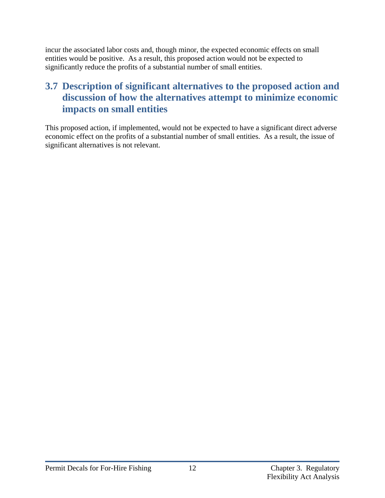incur the associated labor costs and, though minor, the expected economic effects on small entities would be positive. As a result, this proposed action would not be expected to significantly reduce the profits of a substantial number of small entities.

## **3.7 Description of significant alternatives to the proposed action and discussion of how the alternatives attempt to minimize economic impacts on small entities**

This proposed action, if implemented, would not be expected to have a significant direct adverse economic effect on the profits of a substantial number of small entities. As a result, the issue of significant alternatives is not relevant.